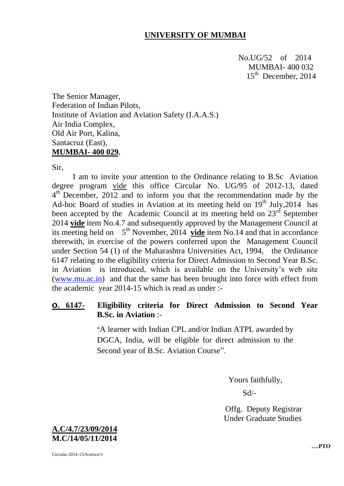## **UNIVERSITY OF MUMBAI**

No.UG/52 of 2014 MUMBAI- 400 032  $15<sup>th</sup>$  $15<sup>th</sup>$  December, 2014

The Senior Manager, Federation of Indian Pilots, Institute of Aviation and Aviation Safety (I.A.A.S.) Air India Complex, Old Air Port, Kalina, Santacruz (East), **MUMBAI- 400 029.**

Sir,

I am to invite your attention to the Ordinance relating to B.Sc Aviation degree program vide this office Circular No. UG/95 of 2012-13, dated 4<sup>th</sup> December, 2012 and to inform you that the recommendation made by the Ad-hoc Board of studies in Aviation at its meeting held on  $19<sup>th</sup>$  July, 2014 has been accepted by the Academic Council at its meeting held on  $23<sup>rd</sup>$  September 2014 **vide** item No.4.7 and subsequently approved by the Management Council at its meeting held on  $5<sup>th</sup>$  November, 2014 **vide** item No.14 and that in accordance therewith, in exercise of the powers conferred upon the Management Council under Section 54 (1) of the Maharashtra Universities Act, 1994, the Ordinance 6147 relating to the eligibility criteria for Direct Admission to Second Year B.Sc. in Aviation is introduced, which is available on the University's web site [\(www.mu.ac.in\)](http://www.mu.ac.in/) and that the same has been brought into force with effect from the academic year 2014-15 which is read as under :-

## **O. 6147- Eligibility criteria for Direct Admission to Second Year B.Sc. in Aviation** :-

"A learner with Indian CPL and/or Indian ATPL awarded by DGCA, India, will be eligible for direct admission to the Second year of B.Sc. Aviation Course".

Yours faithfully,

Sd/-

 Offg. Deputy Registrar Under Graduate Studies



Circular 2014-15/Science/1